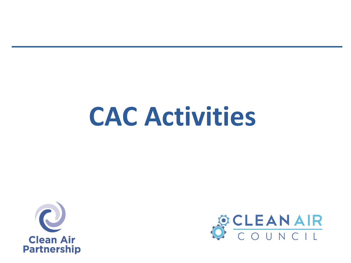# **CAC Activities**



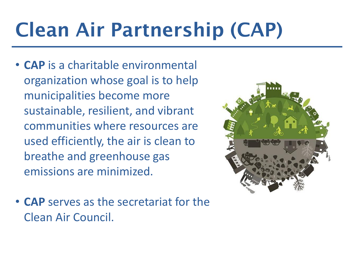# Clean Air Partnership (CAP)

- **CAP** is a charitable environmental organization whose goal is to help municipalities become more sustainable, resilient, and vibrant communities where resources are used efficiently, the air is clean to breathe and greenhouse gas emissions are minimized.
- **CAP** serves as the secretariat for the Clean Air Council.

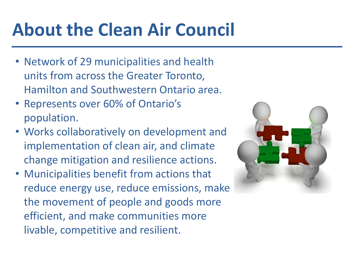#### **About the Clean Air Council**

- Network of 29 municipalities and health units from across the Greater Toronto, Hamilton and Southwestern Ontario area.
- Represents over 60% of Ontario's population.
- Works collaboratively on development and implementation of clean air, and climate change mitigation and resilience actions.
- Municipalities benefit from actions that reduce energy use, reduce emissions, make the movement of people and goods more efficient, and make communities more livable, competitive and resilient.

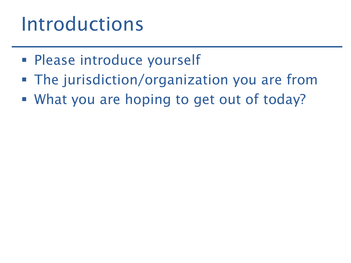#### Introductions

- **Please introduce yourself**
- The jurisdiction/organization you are from
- What you are hoping to get out of today?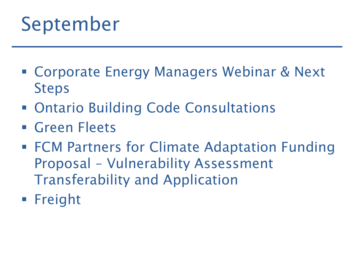#### September

- Corporate Energy Managers Webinar & Next Steps
- Ontario Building Code Consultations
- **Green Fleets**
- FCM Partners for Climate Adaptation Funding Proposal – Vulnerability Assessment Transferability and Application
- **Freight**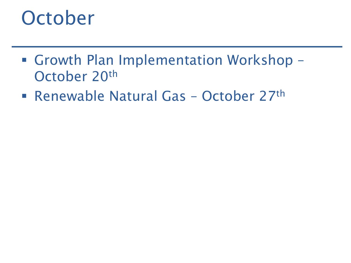#### **October**

- Growth Plan Implementation Workshop October 20th
- Renewable Natural Gas October 27<sup>th</sup>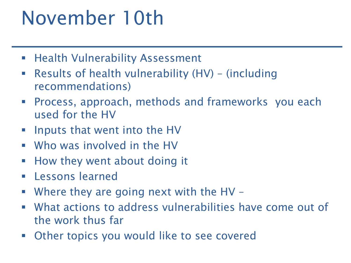### November 10th

- **Health Vulnerability Assessment**
- Results of health vulnerability (HV) (including recommendations)
- Process, approach, methods and frameworks you each used for the HV
- **IF INDUCE THAT INCO THE HUMOGET THE HUMOGET**
- Who was involved in the HV
- **How they went about doing it**
- **Lessons learned**
- Where they are going next with the HV –
- What actions to address vulnerabilities have come out of the work thus far
- Other topics you would like to see covered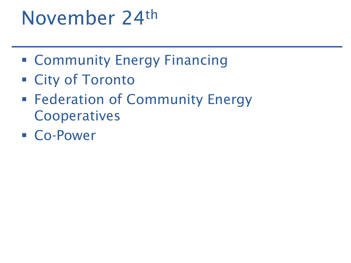#### November 24th

- **Example 21 Community Energy Financing**
- City of Toronto
- **Federation of Community Energy Cooperatives**
- Co-Power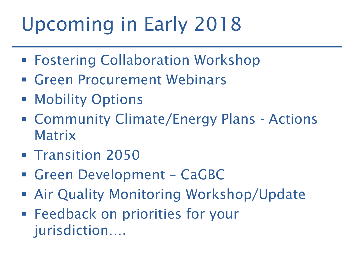# Upcoming in Early 2018

- Fostering Collaboration Workshop
- Green Procurement Webinars
- **Mobility Options**
- Community Climate/Energy Plans Actions Matrix
- **Transition 2050**
- Green Development CaGBC
- Air Quality Monitoring Workshop/Update
- Feedback on priorities for your jurisdiction….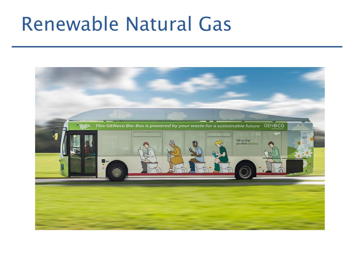#### Renewable Natural Gas

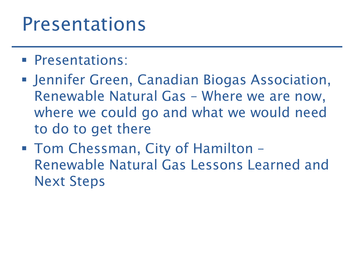#### Presentations

- **Presentations:**
- Jennifer Green, Canadian Biogas Association, Renewable Natural Gas – Where we are now, where we could go and what we would need to do to get there
- Tom Chessman, City of Hamilton Renewable Natural Gas Lessons Learned and Next Steps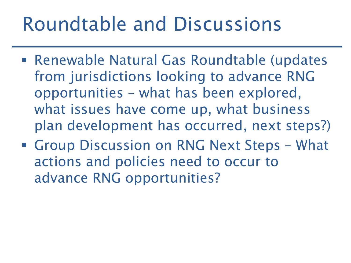### Roundtable and Discussions

- Renewable Natural Gas Roundtable (updates from jurisdictions looking to advance RNG opportunities – what has been explored, what issues have come up, what business plan development has occurred, next steps?)
- Group Discussion on RNG Next Steps What actions and policies need to occur to advance RNG opportunities?